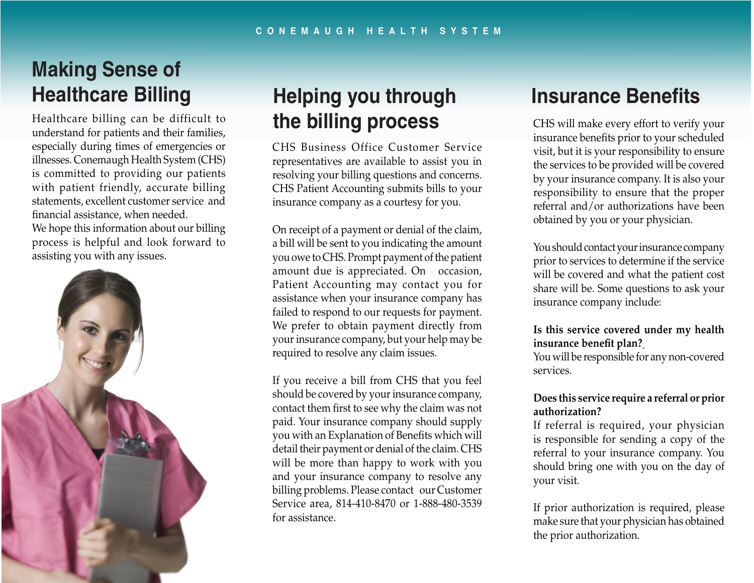# **Making Sense of**

Healthcare billing can be difficult to understand for patients and their families, especially during times of emergencies or illnesses. Conemaugh Health System (CHS) is committed to providing our patients with patient friendly, accurate billing statements, excellent customer service and financial assistance, when needed. We hope this information about our billing process is helpful and look forward to assisting you with any issues.



# **Healthcare Billing Helping you through the billing process**

CHS Business Office Customer Service representatives are available to assist you in resolving your billing questions and concerns. CHS Patient Accounting submits bills to your insurance company as a courtesy for you.

On receipt of a payment or denial of the claim, a bill will be sent to you indicating the amount you owe to CHS. Prompt payment of the patient amount due is appreciated. On occasion, Patient Accounting may contact you for assistance when your insurance company has failed to respond to our requests for payment. We prefer to obtain payment directly from your insurance company, but your help may be required to resolve any claim issues.

If you receive a bill from CHS that you feel should be covered by your insurance company, contact them first to see why the claim was not paid. Your insurance company should supply you with an Explanation of Benefits which will detail their payment or denial of the claim. CHS will be more than happy to work with you and your insurance company to resolve any billing problems. Please contact our Customer Service area, 814-410-8470 or 1-888-480-3539 for assistance.

# **Insurance Benefits**

CHS will make every effort to verify your insurance benefits prior to your scheduled visit, but it is your responsibility to ensure the services to be provided will be covered by your insurance company. It is also your responsibility to ensure that the proper referral and/or authorizations have been obtained by you or your physician.

You should contact your insurance company prior to services to determine if the service will be covered and what the patient cost share will be. Some questions to ask your insurance company include:

## **Is this service covered under my health insurance benefit plan?**

You will be responsible for any non-covered services.

### **Does this service require a referral or prior authorization?**

If referral is required, your physician is responsible for sending a copy of the referral to your insurance company. You should bring one with you on the day of your visit.

If prior authorization is required, please make sure that your physician has obtained the prior authorization.